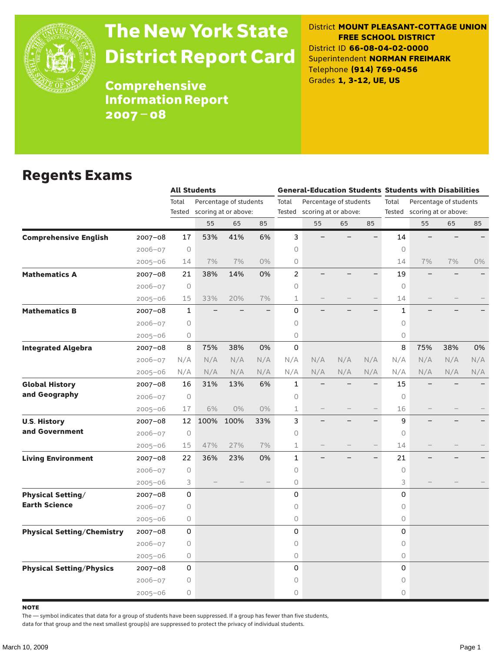

# The New York State District Report Card

District **MOUNT PLEASANT-COTTAGE UNION FREE SCHOOL DISTRICT** District ID **66-08-04-02-0000** Superintendent **NORMAN FREIMARK** Telephone **(914) 769-0456** Grades **1, 3-12, UE, US**

**Comprehensive** Information Report 2007–08

#### Regents Exams

|                                   |             | <b>All Students</b> |      |                        |       |                |                                                |     |     | <b>General-Education Students Students with Disabilities</b> |                             |     |     |
|-----------------------------------|-------------|---------------------|------|------------------------|-------|----------------|------------------------------------------------|-----|-----|--------------------------------------------------------------|-----------------------------|-----|-----|
|                                   |             | Total               |      | Percentage of students |       | Total          | Percentage of students<br>scoring at or above: |     |     | Total                                                        | Percentage of students      |     |     |
|                                   |             | Tested              |      | scoring at or above:   |       | Tested         |                                                |     |     |                                                              | Tested scoring at or above: |     |     |
|                                   |             |                     | 55   | 65                     | 85    |                | 55                                             | 65  | 85  |                                                              | 55                          | 65  | 85  |
| <b>Comprehensive English</b>      | 2007-08     | 17                  | 53%  | 41%                    | 6%    | 3              |                                                |     |     | 14                                                           |                             |     |     |
|                                   | $2006 - 07$ | $\circ$             |      |                        |       | 0              |                                                |     |     | $\circ$                                                      |                             |     |     |
|                                   | $2005 - 06$ | 14                  | 7%   | 7%                     | 0%    | 0              |                                                |     |     | 14                                                           | 7%                          | 7%  | 0%  |
| <b>Mathematics A</b>              | 2007-08     | 21                  | 38%  | 14%                    | 0%    | $\overline{c}$ |                                                |     |     | 19                                                           |                             |     |     |
|                                   | $2006 - 07$ | 0                   |      |                        |       | 0              |                                                |     |     | $\Omega$                                                     |                             |     |     |
|                                   | $2005 - 06$ | 15                  | 33%  | 20%                    | 7%    | 1              |                                                |     |     | 14                                                           |                             |     |     |
| <b>Mathematics B</b>              | 2007-08     | $\mathbf{1}$        |      |                        |       | 0              |                                                |     |     | $\mathbf{1}$                                                 |                             |     |     |
|                                   | $2006 - 07$ | $\circ$             |      |                        |       | 0              |                                                |     |     | $\circ$                                                      |                             |     |     |
|                                   | $2005 - 06$ | 0                   |      |                        |       | 0              |                                                |     |     | $\circ$                                                      |                             |     |     |
| <b>Integrated Algebra</b>         | 2007-08     | 8                   | 75%  | 38%                    | 0%    | 0              |                                                |     |     | 8                                                            | 75%                         | 38% | 0%  |
|                                   | $2006 - 07$ | N/A                 | N/A  | N/A                    | N/A   | N/A            | N/A                                            | N/A | N/A | N/A                                                          | N/A                         | N/A | N/A |
|                                   | $2005 - 06$ | N/A                 | N/A  | N/A                    | N/A   | N/A            | N/A                                            | N/A | N/A | N/A                                                          | N/A                         | N/A | N/A |
| <b>Global History</b>             | 2007-08     | 16                  | 31%  | 13%                    | 6%    | 1              |                                                |     |     | 15                                                           |                             |     |     |
| and Geography                     | $2006 - 07$ | $\circ$             |      |                        |       | 0              |                                                |     |     | $\circ$                                                      |                             |     |     |
|                                   | $2005 - 06$ | 17                  | 6%   | $0\%$                  | $0\%$ | 1              |                                                |     |     | 16                                                           |                             |     |     |
| <b>U.S. History</b>               | $2007 - 08$ | 12                  | 100% | 100%                   | 33%   | 3              |                                                |     |     | 9                                                            |                             |     |     |
| and Government                    | $2006 - 07$ | $\circ$             |      |                        |       | 0              |                                                |     |     | 0                                                            |                             |     |     |
|                                   | $2005 - 06$ | 15                  | 47%  | 27%                    | 7%    | $\mathbf 1$    |                                                |     |     | 14                                                           |                             |     |     |
| <b>Living Environment</b>         | 2007-08     | 22                  | 36%  | 23%                    | 0%    | $\mathbf{1}$   |                                                |     |     | 21                                                           |                             |     |     |
|                                   | 2006-07     | $\circledcirc$      |      |                        |       | 0              |                                                |     |     | $\circ$                                                      |                             |     |     |
|                                   | $2005 - 06$ | 3                   |      |                        |       | 0              |                                                |     |     | 3                                                            |                             |     |     |
| <b>Physical Setting/</b>          | 2007-08     | 0                   |      |                        |       | 0              |                                                |     |     | 0                                                            |                             |     |     |
| <b>Earth Science</b>              | $2006 - 07$ | $\circ$             |      |                        |       | 0              |                                                |     |     | $\circ$                                                      |                             |     |     |
|                                   | $2005 - 06$ | 0                   |      |                        |       | 0              |                                                |     |     | $\circ$                                                      |                             |     |     |
| <b>Physical Setting/Chemistry</b> | 2007-08     | 0                   |      |                        |       | 0              |                                                |     |     | 0                                                            |                             |     |     |
|                                   | $2006 - 07$ | 0                   |      |                        |       | 0              |                                                |     |     | 0                                                            |                             |     |     |
|                                   | $2005 - 06$ | 0                   |      |                        |       | 0              |                                                |     |     | $\bigcirc$                                                   |                             |     |     |
| <b>Physical Setting/Physics</b>   | 2007-08     | 0                   |      |                        |       | 0              |                                                |     |     | 0                                                            |                             |     |     |
|                                   | $2006 - 07$ | 0                   |      |                        |       | 0              |                                                |     |     | $\bigcirc$                                                   |                             |     |     |
|                                   | $2005 - 06$ | 0                   |      |                        |       | 0              |                                                |     |     | $\circ$                                                      |                             |     |     |

**NOTE** 

The — symbol indicates that data for a group of students have been suppressed. If a group has fewer than five students,

data for that group and the next smallest group(s) are suppressed to protect the privacy of individual students.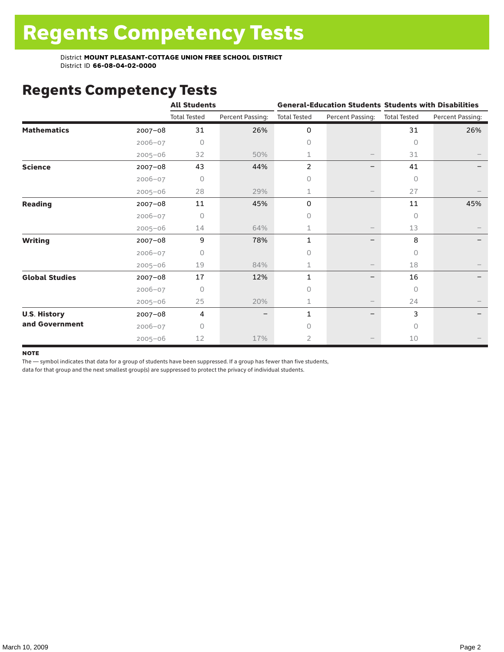District **MOUNT PLEASANT-COTTAGE UNION FREE SCHOOL DISTRICT** District ID **66-08-04-02-0000**

### Regents Competency Tests

|                       |             | <b>All Students</b> |                  |                     |                          | <b>General-Education Students Students with Disabilities</b> |                  |  |
|-----------------------|-------------|---------------------|------------------|---------------------|--------------------------|--------------------------------------------------------------|------------------|--|
|                       |             | <b>Total Tested</b> | Percent Passing: | <b>Total Tested</b> | Percent Passing:         | <b>Total Tested</b>                                          | Percent Passing: |  |
| <b>Mathematics</b>    | $2007 - 08$ | 31                  | 26%              | 0                   |                          | 31                                                           | 26%              |  |
|                       | $2006 - 07$ | 0                   |                  | $\circ$             |                          | $\circ$                                                      |                  |  |
|                       | $2005 - 06$ | 32                  | 50%              | 1                   |                          | 31                                                           |                  |  |
| <b>Science</b>        | 2007-08     | 43                  | 44%              | 2                   |                          | 41                                                           |                  |  |
|                       | $2006 - 07$ | 0                   |                  | 0                   |                          | $\circ$                                                      |                  |  |
|                       | $2005 - 06$ | 28                  | 29%              | 1                   |                          | 27                                                           |                  |  |
| <b>Reading</b>        | $2007 - 08$ | 11                  | 45%              | 0                   |                          | 11                                                           | 45%              |  |
|                       | $2006 - 07$ | $\Omega$            |                  | $\circ$             |                          | $\bigcap$                                                    |                  |  |
|                       | $2005 - 06$ | 14                  | 64%              | 1                   |                          | 13                                                           |                  |  |
| <b>Writing</b>        | 2007-08     | 9                   | 78%              | $\mathbf{1}$        |                          | 8                                                            |                  |  |
|                       | $2006 - 07$ | 0                   |                  | $\Omega$            |                          | $\bigcap$                                                    |                  |  |
|                       | $2005 - 06$ | 19                  | 84%              | 1                   | $\overline{\phantom{m}}$ | 18                                                           |                  |  |
| <b>Global Studies</b> | $2007 - 08$ | 17                  | 12%              | 1                   |                          | 16                                                           |                  |  |
|                       | $2006 - 07$ | 0                   |                  | $\circ$             |                          | $\circ$                                                      |                  |  |
|                       | $2005 - 06$ | 25                  | 20%              | 1                   | $\overline{\phantom{m}}$ | 24                                                           |                  |  |
| <b>U.S. History</b>   | 2007-08     | 4                   |                  | 1                   |                          | 3                                                            |                  |  |
| and Government        | $2006 - 07$ | U                   |                  | $\bigcap$           |                          | $\bigcap$                                                    |                  |  |
|                       | $2005 - 06$ | 12                  | 17%              | $\overline{2}$      |                          | 10                                                           |                  |  |

#### **NOTE**

The — symbol indicates that data for a group of students have been suppressed. If a group has fewer than five students,

data for that group and the next smallest group(s) are suppressed to protect the privacy of individual students.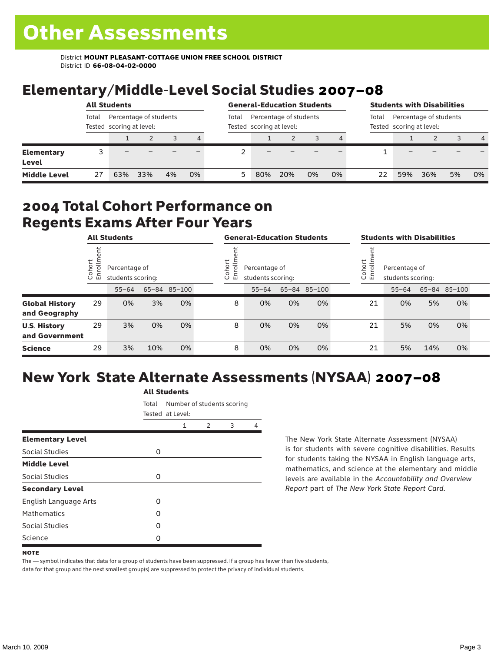District **MOUNT PLEASANT-COTTAGE UNION FREE SCHOOL DISTRICT** District ID **66-08-04-02-0000**

## Elementary/Middle-Level Social Studies 2007–08

|                                   | <b>All Students</b>                                         |     |     |    |       |                                                    | <b>General-Education Students</b> |     |    |       | <b>Students with Disabilities</b>                  |     |     |    |                |
|-----------------------------------|-------------------------------------------------------------|-----|-----|----|-------|----------------------------------------------------|-----------------------------------|-----|----|-------|----------------------------------------------------|-----|-----|----|----------------|
|                                   | Percentage of students<br>Total<br>Tested scoring at level: |     |     |    | Total | Percentage of students<br>Tested scoring at level: |                                   |     |    | Total | Percentage of students<br>Tested scoring at level: |     |     |    |                |
|                                   |                                                             |     |     |    | 4     |                                                    |                                   |     |    |       |                                                    |     |     |    | $\overline{4}$ |
| <b>Elementary</b><br><b>Level</b> |                                                             |     |     |    |       |                                                    |                                   |     |    |       |                                                    |     |     |    |                |
| <b>Middle Level</b>               | 27                                                          | 63% | 33% | 4% | 0%    | 5                                                  | 80%                               | 20% | 0% | 0%    | 22                                                 | 59% | 36% | 5% | 0%             |

#### 2004 Total Cohort Performance on Regents Exams After Four Years

|                                        |                                                              | <b>All Students</b> |     |                       |                                    | <b>General-Education Students</b> |    |              |                                                               | <b>Students with Disabilities</b> |           |     |              |  |
|----------------------------------------|--------------------------------------------------------------|---------------------|-----|-----------------------|------------------------------------|-----------------------------------|----|--------------|---------------------------------------------------------------|-----------------------------------|-----------|-----|--------------|--|
|                                        | Cohort<br>Percentage of<br>$\circ$<br>一<br>students scoring: |                     |     | Cohort<br>⋍<br>S<br>모 | Percentage of<br>students scoring: |                                   |    |              | Cohort<br>$=$<br>Percentage of<br>5<br>문<br>students scoring: |                                   |           |     |              |  |
|                                        |                                                              | $55 - 64$           |     | 65-84 85-100          |                                    | $55 - 64$                         |    | 65-84 85-100 |                                                               |                                   | $55 - 64$ |     | 65-84 85-100 |  |
| <b>Global History</b><br>and Geography | 29                                                           | 0%                  | 3%  | 0%                    | 8                                  | 0%                                | 0% | 0%           |                                                               | 21                                | 0%        | 5%  | 0%           |  |
| <b>U.S. History</b><br>and Government  | 29                                                           | 3%                  | 0%  | 0%                    | 8                                  | 0%                                | 0% | 0%           |                                                               | 21                                | 5%        | 0%  | 0%           |  |
| <b>Science</b>                         | 29                                                           | 3%                  | 10% | 0%                    | 8                                  | 0%                                | 0% | 0%           |                                                               | 21                                | 5%        | 14% | 0%           |  |

#### New York State Alternate Assessments (NYSAA) 2007–08

|                              | <b>All Students</b> |                  |                            |   |   |  |  |  |  |
|------------------------------|---------------------|------------------|----------------------------|---|---|--|--|--|--|
|                              | Total               | Tested at Level: | Number of students scoring |   |   |  |  |  |  |
|                              |                     | 1                | $\mathcal{P}$              | 3 | 4 |  |  |  |  |
| <b>Elementary Level</b>      |                     |                  |                            |   |   |  |  |  |  |
| Social Studies               | 0                   |                  |                            |   |   |  |  |  |  |
| <b>Middle Level</b>          |                     |                  |                            |   |   |  |  |  |  |
| Social Studies               | 0                   |                  |                            |   |   |  |  |  |  |
| <b>Secondary Level</b>       |                     |                  |                            |   |   |  |  |  |  |
| <b>English Language Arts</b> | O                   |                  |                            |   |   |  |  |  |  |
| <b>Mathematics</b>           | Ω                   |                  |                            |   |   |  |  |  |  |
| Social Studies               | O                   |                  |                            |   |   |  |  |  |  |
| Science                      | Ω                   |                  |                            |   |   |  |  |  |  |

The New York State Alternate Assessment (NYSAA) is for students with severe cognitive disabilities. Results for students taking the NYSAA in English language arts, mathematics, and science at the elementary and middle levels are available in the *Accountability and Overview Report* part of *The New York State Report Card*.

The — symbol indicates that data for a group of students have been suppressed. If a group has fewer than five students, data for that group and the next smallest group(s) are suppressed to protect the privacy of individual students.

**NOTE**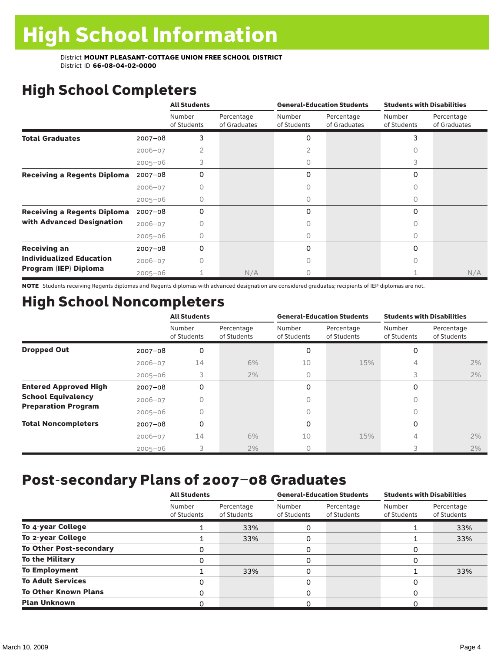District **MOUNT PLEASANT-COTTAGE UNION FREE SCHOOL DISTRICT** District ID **66-08-04-02-0000**

## High School Completers

|                                    |             | <b>All Students</b>   |                            |                       | <b>General-Education Students</b> | <b>Students with Disabilities</b> |                            |  |
|------------------------------------|-------------|-----------------------|----------------------------|-----------------------|-----------------------------------|-----------------------------------|----------------------------|--|
|                                    |             | Number<br>of Students | Percentage<br>of Graduates | Number<br>of Students | Percentage<br>of Graduates        | Number<br>of Students             | Percentage<br>of Graduates |  |
| <b>Total Graduates</b>             | $2007 - 08$ | 3                     |                            | 0                     |                                   | 3                                 |                            |  |
|                                    | $2006 - 07$ |                       |                            |                       |                                   |                                   |                            |  |
|                                    | $2005 - 06$ | 3                     |                            |                       |                                   | 3                                 |                            |  |
| <b>Receiving a Regents Diploma</b> | $2007 - 08$ | 0                     |                            | 0                     |                                   | 0                                 |                            |  |
|                                    | $2006 - 07$ | Ω                     |                            |                       |                                   | Ω                                 |                            |  |
|                                    | $2005 - 06$ |                       |                            | O                     |                                   |                                   |                            |  |
| <b>Receiving a Regents Diploma</b> | $2007 - 08$ | 0                     |                            | O                     |                                   | $\Omega$                          |                            |  |
| with Advanced Designation          | $2006 - 07$ | Ω                     |                            |                       |                                   | Ω                                 |                            |  |
|                                    | $2005 - 06$ |                       |                            | 0                     |                                   | Ω                                 |                            |  |
| <b>Receiving an</b>                | $2007 - 08$ | 0                     |                            | 0                     |                                   | 0                                 |                            |  |
| <b>Individualized Education</b>    | $2006 - 07$ |                       |                            |                       |                                   |                                   |                            |  |
| Program (IEP) Diploma              | $2005 - 06$ |                       | N/A                        |                       |                                   |                                   | N/A                        |  |

NOTE Students receiving Regents diplomas and Regents diplomas with advanced designation are considered graduates; recipients of IEP diplomas are not.

## High School Noncompleters

|                              |             | <b>All Students</b>   |                           |                       | <b>General-Education Students</b> | <b>Students with Disabilities</b> |                           |  |
|------------------------------|-------------|-----------------------|---------------------------|-----------------------|-----------------------------------|-----------------------------------|---------------------------|--|
|                              |             | Number<br>of Students | Percentage<br>of Students | Number<br>of Students | Percentage<br>of Students         | Number<br>of Students             | Percentage<br>of Students |  |
| <b>Dropped Out</b>           | $2007 - 08$ | 0                     |                           | 0                     |                                   | $\Omega$                          |                           |  |
|                              | $2006 - 07$ | 14                    | 6%                        | 10                    | 15%                               | 4                                 | 2%                        |  |
|                              | $2005 - 06$ | 3                     | 2%                        | 0                     |                                   | 3                                 | 2%                        |  |
| <b>Entered Approved High</b> | $2007 - 08$ | 0                     |                           | 0                     |                                   | $\Omega$                          |                           |  |
| <b>School Equivalency</b>    | $2006 - 07$ |                       |                           |                       |                                   |                                   |                           |  |
| <b>Preparation Program</b>   | $2005 - 06$ | 0                     |                           | 0                     |                                   | 0                                 |                           |  |
| <b>Total Noncompleters</b>   | $2007 - 08$ | 0                     |                           | 0                     |                                   | $\Omega$                          |                           |  |
|                              | $2006 - 07$ | 14                    | 6%                        | 10                    | 15%                               | 4                                 | 2%                        |  |
|                              | $2005 - 06$ | 3                     | 2%                        | 0                     |                                   |                                   | 2%                        |  |

### Post-secondary Plans of 2007–08 Graduates

|                                | <b>All Students</b>   |                           |                       | <b>General-Education Students</b> | <b>Students with Disabilities</b> |                           |  |
|--------------------------------|-----------------------|---------------------------|-----------------------|-----------------------------------|-----------------------------------|---------------------------|--|
|                                | Number<br>of Students | Percentage<br>of Students | Number<br>of Students | Percentage<br>of Students         | Number<br>of Students             | Percentage<br>of Students |  |
| To 4-year College              |                       | 33%                       | 0                     |                                   |                                   | 33%                       |  |
| To 2-year College              |                       | 33%                       | 0                     |                                   |                                   | 33%                       |  |
| <b>To Other Post-secondary</b> | 0                     |                           | 0                     |                                   | 0                                 |                           |  |
| <b>To the Military</b>         | 0                     |                           | 0                     |                                   | 0                                 |                           |  |
| <b>To Employment</b>           |                       | 33%                       | 0                     |                                   |                                   | 33%                       |  |
| <b>To Adult Services</b>       | 0                     |                           | 0                     |                                   | 0                                 |                           |  |
| <b>To Other Known Plans</b>    | ი                     |                           | 0                     |                                   | 0                                 |                           |  |
| <b>Plan Unknown</b>            |                       |                           | 0                     |                                   | O                                 |                           |  |